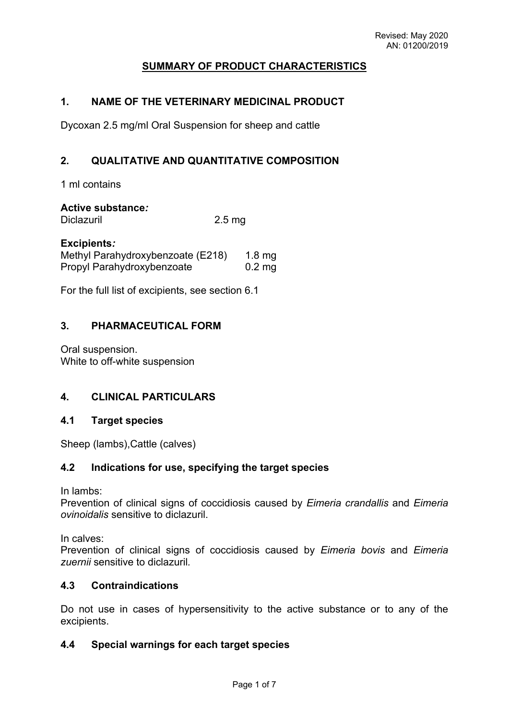# **SUMMARY OF PRODUCT CHARACTERISTICS**

## **1. NAME OF THE VETERINARY MEDICINAL PRODUCT**

Dycoxan 2.5 mg/ml Oral Suspension for sheep and cattle

## **2. QUALITATIVE AND QUANTITATIVE COMPOSITION**

1 ml contains

#### **Active substance***:*

Diclazuril 2.5 mg

#### **Excipients***:*

| Methyl Parahydroxybenzoate (E218) | $1.8 \text{ mg}$ |
|-----------------------------------|------------------|
| Propyl Parahydroxybenzoate        | $0.2 \text{ mg}$ |

For the full list of excipients, see section 6.1

# **3. PHARMACEUTICAL FORM**

Oral suspension. White to off-white suspension

## **4. CLINICAL PARTICULARS**

#### **4.1 Target species**

Sheep (lambs),Cattle (calves)

## **4.2 Indications for use, specifying the target species**

In lambs:

Prevention of clinical signs of coccidiosis caused by *Eimeria crandallis* and *Eimeria ovinoidalis* sensitive to diclazuril.

In calves:

Prevention of clinical signs of coccidiosis caused by *Eimeria bovis* and *Eimeria zuernii* sensitive to diclazuril*.*

#### **4.3 Contraindications**

Do not use in cases of hypersensitivity to the active substance or to any of the excipients.

## **4.4 Special warnings for each target species**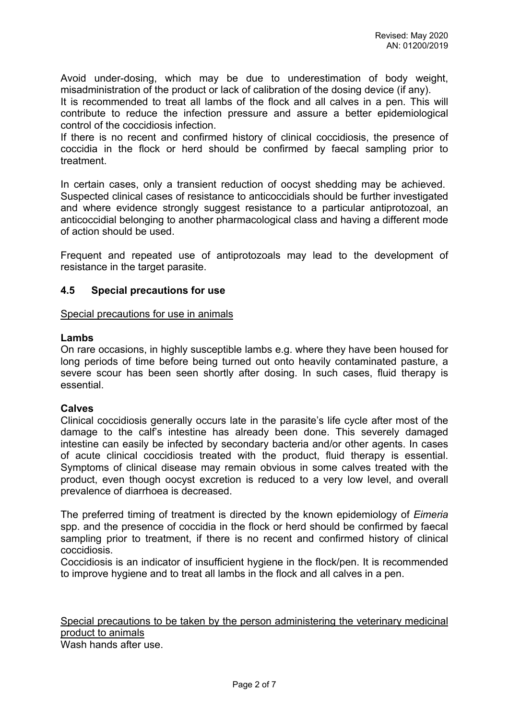Avoid under-dosing, which may be due to underestimation of body weight, misadministration of the product or lack of calibration of the dosing device (if any).

It is recommended to treat all lambs of the flock and all calves in a pen. This will contribute to reduce the infection pressure and assure a better epidemiological control of the coccidiosis infection.

If there is no recent and confirmed history of clinical coccidiosis, the presence of coccidia in the flock or herd should be confirmed by faecal sampling prior to treatment.

In certain cases, only a transient reduction of oocyst shedding may be achieved. Suspected clinical cases of resistance to anticoccidials should be further investigated and where evidence strongly suggest resistance to a particular antiprotozoal, an anticoccidial belonging to another pharmacological class and having a different mode of action should be used.

Frequent and repeated use of antiprotozoals may lead to the development of resistance in the target parasite.

# **4.5 Special precautions for use**

Special precautions for use in animals

#### **Lambs**

On rare occasions, in highly susceptible lambs e.g. where they have been housed for long periods of time before being turned out onto heavily contaminated pasture, a severe scour has been seen shortly after dosing. In such cases, fluid therapy is essential.

## **Calves**

Clinical coccidiosis generally occurs late in the parasite's life cycle after most of the damage to the calf's intestine has already been done. This severely damaged intestine can easily be infected by secondary bacteria and/or other agents. In cases of acute clinical coccidiosis treated with the product, fluid therapy is essential. Symptoms of clinical disease may remain obvious in some calves treated with the product, even though oocyst excretion is reduced to a very low level, and overall prevalence of diarrhoea is decreased.

The preferred timing of treatment is directed by the known epidemiology of *Eimeria* spp. and the presence of coccidia in the flock or herd should be confirmed by faecal sampling prior to treatment, if there is no recent and confirmed history of clinical coccidiosis.

Coccidiosis is an indicator of insufficient hygiene in the flock/pen. It is recommended to improve hygiene and to treat all lambs in the flock and all calves in a pen.

Special precautions to be taken by the person administering the veterinary medicinal product to animals

Wash hands after use.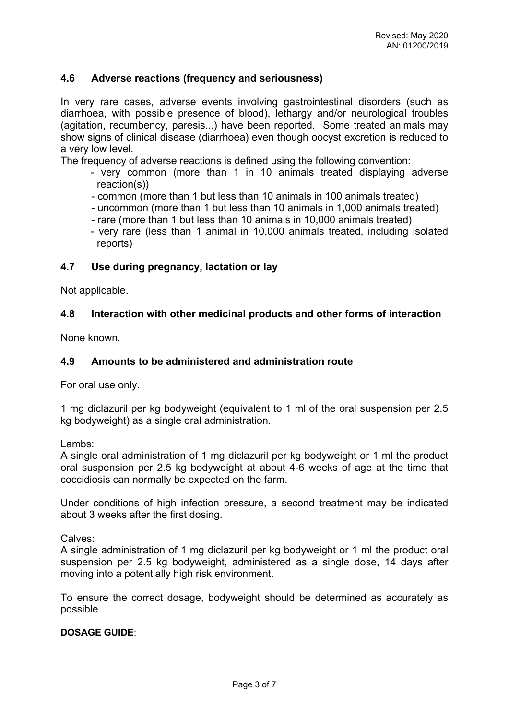# **4.6 Adverse reactions (frequency and seriousness)**

In very rare cases, adverse events involving gastrointestinal disorders (such as diarrhoea, with possible presence of blood), lethargy and/or neurological troubles (agitation, recumbency, paresis...) have been reported. Some treated animals may show signs of clinical disease (diarrhoea) even though oocyst excretion is reduced to a very low level.

The frequency of adverse reactions is defined using the following convention:

- very common (more than 1 in 10 animals treated displaying adverse reaction(s))
- common (more than 1 but less than 10 animals in 100 animals treated)
- uncommon (more than 1 but less than 10 animals in 1,000 animals treated)
- rare (more than 1 but less than 10 animals in 10,000 animals treated)
- very rare (less than 1 animal in 10,000 animals treated, including isolated reports)

#### **4.7 Use during pregnancy, lactation or lay**

Not applicable.

#### **4.8 Interaction with other medicinal products and other forms of interaction**

None known.

#### **4.9 Amounts to be administered and administration route**

For oral use only.

1 mg diclazuril per kg bodyweight (equivalent to 1 ml of the oral suspension per 2.5 kg bodyweight) as a single oral administration.

Lambs:

A single oral administration of 1 mg diclazuril per kg bodyweight or 1 ml the product oral suspension per 2.5 kg bodyweight at about 4-6 weeks of age at the time that coccidiosis can normally be expected on the farm.

Under conditions of high infection pressure, a second treatment may be indicated about 3 weeks after the first dosing.

Calves:

A single administration of 1 mg diclazuril per kg bodyweight or 1 ml the product oral suspension per 2.5 kg bodyweight, administered as a single dose, 14 days after moving into a potentially high risk environment.

To ensure the correct dosage, bodyweight should be determined as accurately as possible.

#### **DOSAGE GUIDE**: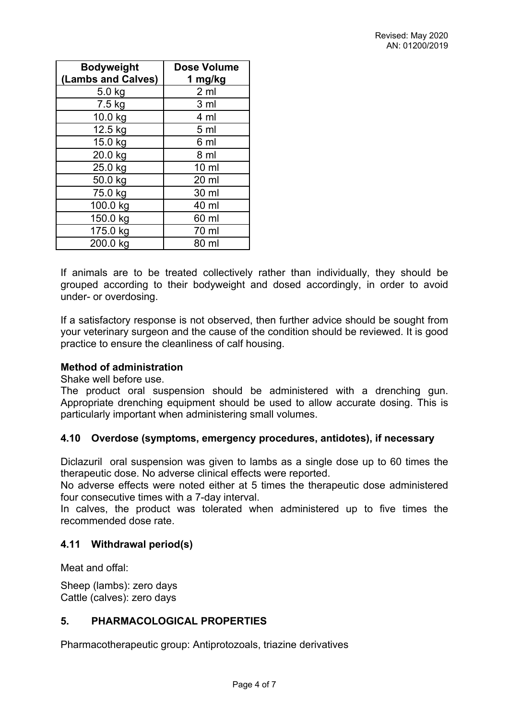| <b>Bodyweight</b>  | <b>Dose Volume</b> |
|--------------------|--------------------|
| (Lambs and Calves) | 1 mg/kg            |
| 5.0 kg             | 2 <sub>m</sub>     |
| $7.5$ kg           | 3 <sub>ml</sub>    |
| 10.0 kg            | 4 ml               |
| 12.5 kg            | 5 <sub>ml</sub>    |
| 15.0 kg            | 6 ml               |
| 20.0 kg            | 8 ml               |
| 25.0 kg            | $10 \mathrm{m}$    |
| 50.0 kg            | 20 ml              |
| 75.0 kg            | 30 ml              |
| 100.0 kg           | 40 ml              |
| 150.0 kg           | 60 ml              |
| 175.0 kg           | 70 ml              |
| 200.0 kg           | 80 ml              |

If animals are to be treated collectively rather than individually, they should be grouped according to their bodyweight and dosed accordingly, in order to avoid under- or overdosing.

If a satisfactory response is not observed, then further advice should be sought from your veterinary surgeon and the cause of the condition should be reviewed. It is good practice to ensure the cleanliness of calf housing.

## **Method of administration**

Shake well before use.

The product oral suspension should be administered with a drenching gun. Appropriate drenching equipment should be used to allow accurate dosing. This is particularly important when administering small volumes.

## **4.10 Overdose (symptoms, emergency procedures, antidotes), if necessary**

Diclazuril oral suspension was given to lambs as a single dose up to 60 times the therapeutic dose. No adverse clinical effects were reported.

No adverse effects were noted either at 5 times the therapeutic dose administered four consecutive times with a 7-day interval.

In calves, the product was tolerated when administered up to five times the recommended dose rate.

## **4.11 Withdrawal period(s)**

Meat and offal:

Sheep (lambs): zero days Cattle (calves): zero days

# **5. PHARMACOLOGICAL PROPERTIES**

Pharmacotherapeutic group: Antiprotozoals, triazine derivatives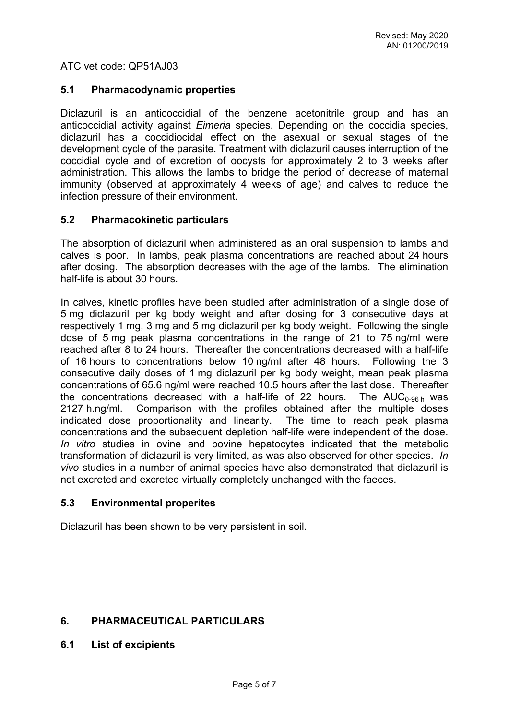ATC vet code: QP51AJ03

#### **5.1 Pharmacodynamic properties**

Diclazuril is an anticoccidial of the benzene acetonitrile group and has an anticoccidial activity against *Eimeria* species. Depending on the coccidia species, diclazuril has a coccidiocidal effect on the asexual or sexual stages of the development cycle of the parasite. Treatment with diclazuril causes interruption of the coccidial cycle and of excretion of oocysts for approximately 2 to 3 weeks after administration. This allows the lambs to bridge the period of decrease of maternal immunity (observed at approximately 4 weeks of age) and calves to reduce the infection pressure of their environment.

## **5.2 Pharmacokinetic particulars**

The absorption of diclazuril when administered as an oral suspension to lambs and calves is poor. In lambs, peak plasma concentrations are reached about 24 hours after dosing. The absorption decreases with the age of the lambs. The elimination half-life is about 30 hours.

In calves, kinetic profiles have been studied after administration of a single dose of 5 mg diclazuril per kg body weight and after dosing for 3 consecutive days at respectively 1 mg, 3 mg and 5 mg diclazuril per kg body weight. Following the single dose of 5 mg peak plasma concentrations in the range of 21 to 75 ng/ml were reached after 8 to 24 hours. Thereafter the concentrations decreased with a half-life of 16 hours to concentrations below 10 ng/ml after 48 hours. Following the 3 consecutive daily doses of 1 mg diclazuril per kg body weight, mean peak plasma concentrations of 65.6 ng/ml were reached 10.5 hours after the last dose. Thereafter the concentrations decreased with a half-life of 22 hours. The  $AUC_{0.96h}$  was 2127 h.ng/ml. Comparison with the profiles obtained after the multiple doses indicated dose proportionality and linearity. The time to reach peak plasma concentrations and the subsequent depletion half-life were independent of the dose. *In vitro* studies in ovine and bovine hepatocytes indicated that the metabolic transformation of diclazuril is very limited, as was also observed for other species. *In vivo* studies in a number of animal species have also demonstrated that diclazuril is not excreted and excreted virtually completely unchanged with the faeces.

## **5.3 Environmental properites**

Diclazuril has been shown to be very persistent in soil.

## **6. PHARMACEUTICAL PARTICULARS**

**6.1 List of excipients**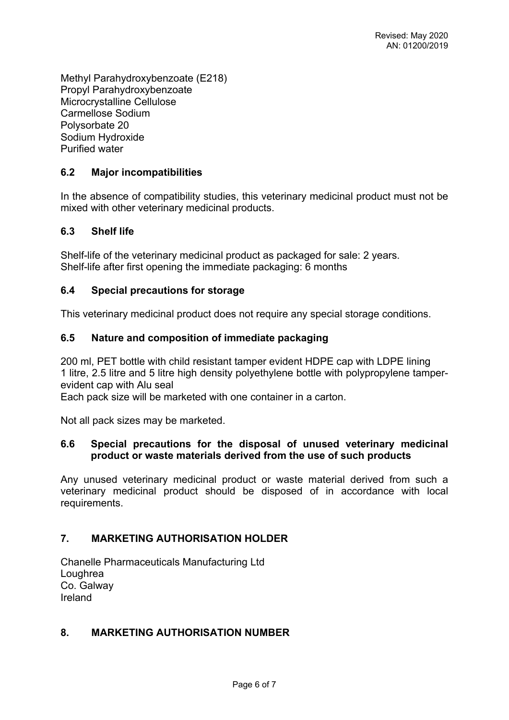Methyl Parahydroxybenzoate (E218) Propyl Parahydroxybenzoate Microcrystalline Cellulose Carmellose Sodium Polysorbate 20 Sodium Hydroxide Purified water

# **6.2 Major incompatibilities**

In the absence of compatibility studies, this veterinary medicinal product must not be mixed with other veterinary medicinal products.

## **6.3 Shelf life**

Shelf-life of the veterinary medicinal product as packaged for sale: 2 years. Shelf-life after first opening the immediate packaging: 6 months

## **6.4 Special precautions for storage**

This veterinary medicinal product does not require any special storage conditions.

#### **6.5 Nature and composition of immediate packaging**

200 ml, PET bottle with child resistant tamper evident HDPE cap with LDPE lining 1 litre, 2.5 litre and 5 litre high density polyethylene bottle with polypropylene tamperevident cap with Alu seal

Each pack size will be marketed with one container in a carton.

Not all pack sizes may be marketed.

#### **6.6 Special precautions for the disposal of unused veterinary medicinal product or waste materials derived from the use of such products**

Any unused veterinary medicinal product or waste material derived from such a veterinary medicinal product should be disposed of in accordance with local requirements.

## **7. MARKETING AUTHORISATION HOLDER**

Chanelle Pharmaceuticals Manufacturing Ltd Loughrea Co. Galway Ireland

## **8. MARKETING AUTHORISATION NUMBER**